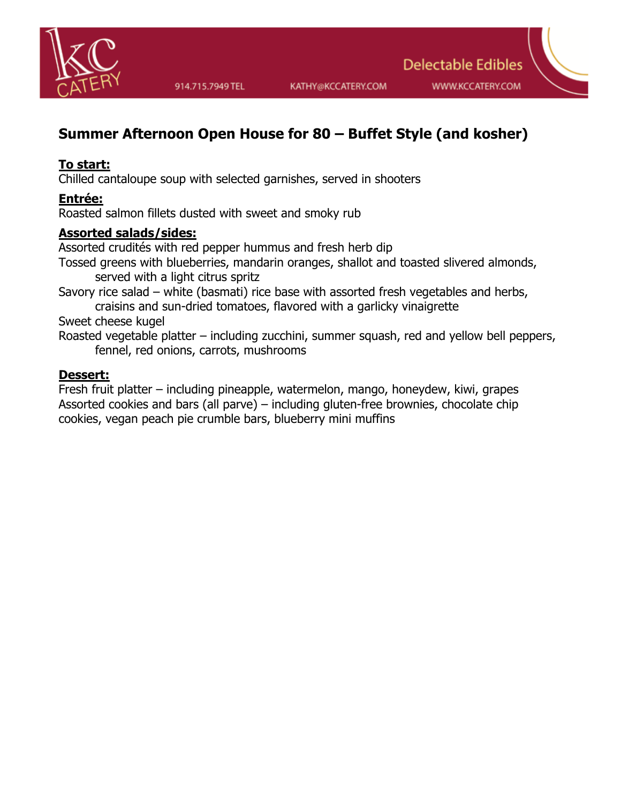

# **Summer Afternoon Open House for 80 – Buffet Style (and kosher)**

### **To start:**

Chilled cantaloupe soup with selected garnishes, served in shooters

### **Entrée:**

Roasted salmon fillets dusted with sweet and smoky rub

### **Assorted salads/sides:**

Assorted crudités with red pepper hummus and fresh herb dip Tossed greens with blueberries, mandarin oranges, shallot and toasted slivered almonds, served with a light citrus spritz

Savory rice salad – white (basmati) rice base with assorted fresh vegetables and herbs,

craisins and sun-dried tomatoes, flavored with a garlicky vinaigrette

Sweet cheese kugel

Roasted vegetable platter – including zucchini, summer squash, red and yellow bell peppers, fennel, red onions, carrots, mushrooms

#### **Dessert:**

Fresh fruit platter – including pineapple, watermelon, mango, honeydew, kiwi, grapes Assorted cookies and bars (all parve) – including gluten-free brownies, chocolate chip cookies, vegan peach pie crumble bars, blueberry mini muffins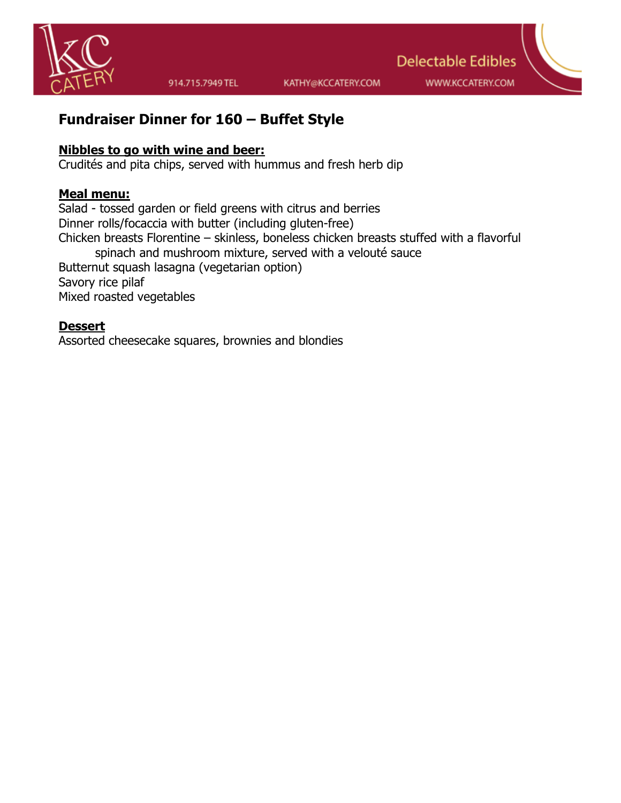

WWW.KCCATERY.COM

**Delectable Edibles** 

# **Fundraiser Dinner for 160 – Buffet Style**

#### **Nibbles to go with wine and beer:**

Crudités and pita chips, served with hummus and fresh herb dip

#### **Meal menu:**

Salad - tossed garden or field greens with citrus and berries Dinner rolls/focaccia with butter (including gluten-free) Chicken breasts Florentine – skinless, boneless chicken breasts stuffed with a flavorful spinach and mushroom mixture, served with a velouté sauce Butternut squash lasagna (vegetarian option) Savory rice pilaf Mixed roasted vegetables

#### **Dessert**

Assorted cheesecake squares, brownies and blondies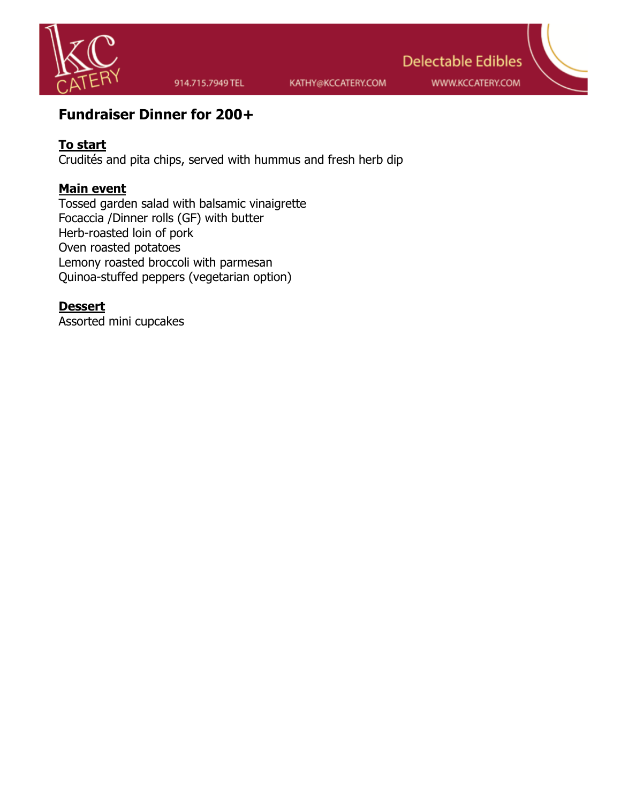

914.715.7949 TEL

KATHY@KCCATERY.COM

**Delectable Edibles** WWW.KCCATERY.COM

# **Fundraiser Dinner for 200+**

# **To start**

Crudités and pita chips, served with hummus and fresh herb dip

## **Main event**

Tossed garden salad with balsamic vinaigrette Focaccia /Dinner rolls (GF) with butter Herb-roasted loin of pork Oven roasted potatoes Lemony roasted broccoli with parmesan Quinoa-stuffed peppers (vegetarian option)

#### **Dessert**

Assorted mini cupcakes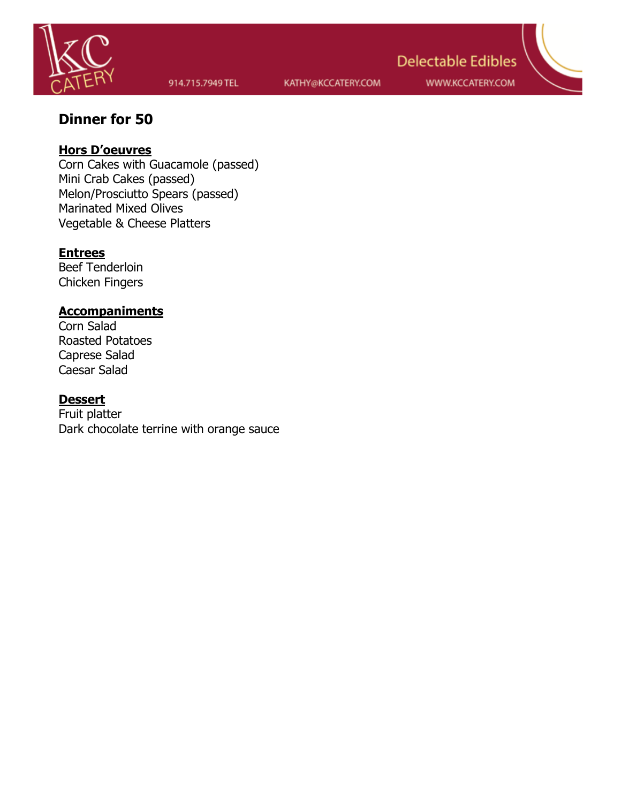

WWW.KCCATERY.COM

**Delectable Edibles** 

# **Dinner for 50**

### **Hors D'oeuvres**

Corn Cakes with Guacamole (passed) Mini Crab Cakes (passed) Melon/Prosciutto Spears (passed) Marinated Mixed Olives Vegetable & Cheese Platters

#### **Entrees**

Beef Tenderloin Chicken Fingers

#### **Accompaniments**

Corn Salad Roasted Potatoes Caprese Salad Caesar Salad

#### **Dessert**

Fruit platter Dark chocolate terrine with orange sauce